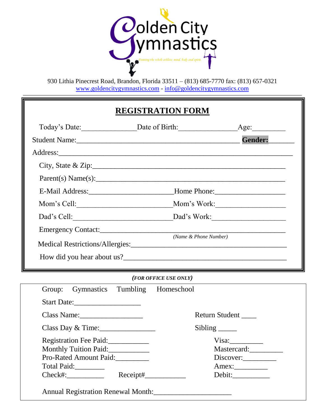

# **REGISTRATION FORM**

| Today's Date: Date Date of Birth: |  |                                                                                  | Age:                             |
|-----------------------------------|--|----------------------------------------------------------------------------------|----------------------------------|
|                                   |  |                                                                                  | Gender:                          |
|                                   |  |                                                                                  |                                  |
|                                   |  |                                                                                  | City, State & Zip: $\frac{1}{2}$ |
|                                   |  |                                                                                  | Parent(s) Name(s):               |
|                                   |  | E-Mail Address: _____________________________Home Phone: _______________________ |                                  |
|                                   |  |                                                                                  |                                  |
|                                   |  |                                                                                  |                                  |
|                                   |  |                                                                                  |                                  |
|                                   |  |                                                                                  | (Name & Phone Number)            |
|                                   |  |                                                                                  |                                  |
|                                   |  |                                                                                  |                                  |
|                                   |  |                                                                                  |                                  |
|                                   |  | (FOR OFFICE USE ONLY)                                                            |                                  |
| Group:                            |  | Gymnastics Tumbling Homeschool                                                   |                                  |
|                                   |  |                                                                                  |                                  |
| Class Name:                       |  |                                                                                  | Return Student                   |
| Class Day & Time:                 |  |                                                                                  | Sibling ____                     |
| Registration Fee Paid:            |  |                                                                                  | Visa:                            |
| Monthly Tuition Paid:             |  |                                                                                  | Mastercard:                      |
| Pro-Rated Amount Paid:            |  |                                                                                  | Discover:                        |
| Total Paid:<br>$Check\#:$         |  |                                                                                  |                                  |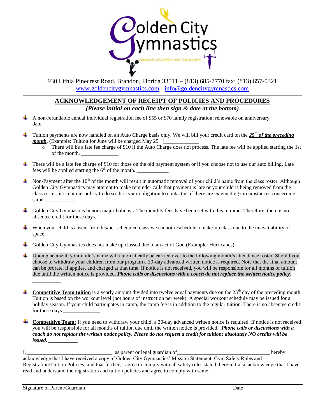

#### **ACKNOWLEDGEMENT OF RECEIPT OF POLICIES AND PROCEDURES**  *(Please initial on each line then sign & date at the bottom)*

- A non-refundable annual individual registration fee of \$55 or \$70 family registration; renewable on anniversary ÷ date.\_\_\_\_\_\_\_\_\_\_
- Tuition payments are now handled on an Auto Charge basis only. We will bill your credit card on the *25th of the preceding*  4. *month*. (Example: Tuition for June will be charged May 25<sup>th</sup>.)
	- $\overline{\circ}$  There will be a late fee charge of \$10 if the Auto Charge does not process. The late fee will be applied starting the 1st of the month.
- There will be a late fee charge of \$10 for those on the old payment system or if you choose not to use our auto billing. Late fees will be applied starting the  $6<sup>th</sup>$  of the month.
- Non-Payment after the  $10^{th}$  of the month will result in automatic removal of your child's name from the class roster. Although Golden City Gymnastics may attempt to make reminder calls that payment is late or your child is being removed from the class roster, it is not our policy to do so. It is your obligation to contact us if there are extenuating circumstances concerning same.
- Golden City Gymnastics honors major holidays. The monthly fees have been set with this in mind. Therefore, there is no absentee credit for these days.
- When your child is absent from his/her scheduled class we cannot reschedule a make-up class due to the unavailability of space.
- Golden City Gymnastics does not make up classed due to an act of God (Example: Hurricanes).
- Upon placement, your child's name will automatically be carried over to the following month's attendance roster. Should you ۰. choose to withdraw your children from our program a 30-day advanced written notice is required. Note that the final amount can be prorate, if applies, and charged at that time. If notice is not received, you will be responsible for all months of tuition due until the written notice is provided. *Phone calls or discussions with a coach do not replace the written notice policy. \_\_\_\_\_\_\_\_\_\_\_*
- **Competitive Team tuition** is a yearly amount divided into twelve equal payments due on the  $25<sup>th</sup>$  day of the preceding month. Tuition is based on the workout level (not hours of instruction per week). A special workout schedule may be issued for a holiday season. If your child participates in camp, the camp fee is in addition to the regular tuition. There is no absentee credit for these days.
- **Competitive Team:** If you need to withdraw your child, a 30-day advanced written notice is required. If notice is not received you will be responsible for all months of tuition due until the written notice is provided. *Phone calls or discussions with a coach do not replace the written notice policy. Please do not request a credit for tuition; absolutely NO credits will be issued. \_\_\_\_\_\_\_\_\_\_\_*

I, \_\_\_\_\_\_\_\_\_\_\_\_\_\_\_\_\_\_\_\_\_\_\_\_\_\_\_\_\_\_\_\_, as parent or legal guardian of\_\_\_\_\_\_\_\_\_\_\_\_\_\_\_\_\_\_\_\_\_\_\_\_\_\_\_\_\_\_\_\_\_\_\_ hereby acknowledge that I have received a copy of Golden City Gymnastics' Mission Statement, Gym Safety Rules and Registration/Tuition Policies; and that further, I agree to comply with all safety rules stated therein. I also acknowledge that I have read and understand the registration and tuition policies and agree to comply with same.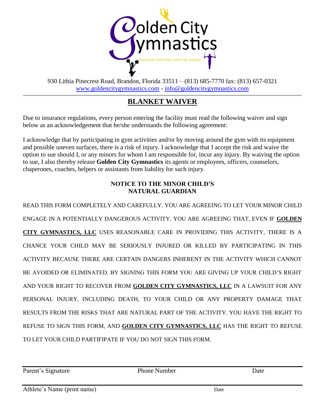

### **BLANKET WAIVER**

Due to insurance regulations, every person entering the facility must read the following waiver and sign below as an acknowledgement that he/she understands the following agreement:

I acknowledge that by participating in gym activities and/or by moving around the gym with its equipment and possible uneven surfaces, there is a risk of injury. I acknowledge that I accept the risk and waive the option to sue should I, or any minors for whom I am responsible for, incur any injury. By waiving the option to sue, I also thereby release **Golden City Gymnastics** its agents or employees, officers, counselors, chaperones, coaches, helpers or assistants from liability for such injury.

### **NOTICE TO THE MINOR CHILD'S NATURAL GUARDIAN**

READ THIS FORM COMPLETELY AND CAREFULLY. YOU ARE AGREEING TO LET YOUR MINOR CHILD ENGAGE IN A POTENTIALLY DANGEROUS ACTIVITY. YOU ARE AGREEING THAT, EVEN IF **GOLDEN CITY GYMNASTICS, LLC** USES REASONABLE CARE IN PROVIDING THIS ACTIVITY, THERE IS A CHANCE YOUR CHILD MAY BE SERIOUSLY INJURED OR KILLED BY PARTICIPATING IN THIS ACTIVITY BECAUSE THERE ARE CERTAIN DANGERS INHERENT IN THE ACTIVITY WHICH CANNOT BE AVOIDED OR ELIMINATED. BY SIGNING THIS FORM YOU ARE GIVING UP YOUR CHILD'S RIGHT AND YOUR RIGHT TO RECOVER FROM **GOLDEN CITY GYMNASTICS, LLC** IN A LAWSUIT FOR ANY PERSONAL INJURY, INCLUDING DEATH, TO YOUR CHILD OR ANY PROPERTY DAMAGE THAT RESULTS FROM THE RISKS THAT ARE NATURAL PART OF THE ACTIVITY. YOU HAVE THE RIGHT TO REFUSE TO SIGN THIS FORM, AND **GOLDEN CITY GYMNASTICS, LLC** HAS THE RIGHT TO REFUSE TO LET YOUR CHILD PARTIFIPATE IF YOU DO NOT SIGN THIS FORM.